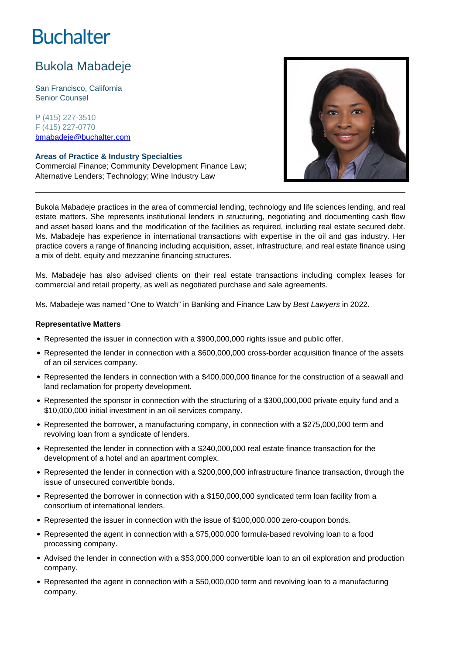# **Buchalter**

## Bukola Mabadeje

San Francisco, California Senior Counsel

P (415) 227-3510 F (415) 227-0770 bmabadeje@buchalter.com

### **Areas of Practice & Industry Specialties**

Commercial Finance; Community Development Finance Law; Alternative Lenders; Technology; Wine Industry Law



Bukola Mabadeje practices in the area of commercial lending, technology and life sciences lending, and real estate matters. She represents institutional lenders in structuring, negotiating and documenting cash flow and asset based loans and the modification of the facilities as required, including real estate secured debt. Ms. Mabadeje has experience in international transactions with expertise in the oil and gas industry. Her practice covers a range of financing including acquisition, asset, infrastructure, and real estate finance using a mix of debt, equity and mezzanine financing structures.

Ms. Mabadeje has also advised clients on their real estate transactions including complex leases for commercial and retail property, as well as negotiated purchase and sale agreements.

Ms. Mabadeje was named "One to Watch" in Banking and Finance Law by Best Lawyers in 2022.

#### **Representative Matters**

- Represented the issuer in connection with a \$900,000,000 rights issue and public offer.
- Represented the lender in connection with a \$600,000,000 cross-border acquisition finance of the assets of an oil services company.
- Represented the lenders in connection with a \$400,000,000 finance for the construction of a seawall and land reclamation for property development.
- Represented the sponsor in connection with the structuring of a \$300,000,000 private equity fund and a \$10,000,000 initial investment in an oil services company.
- Represented the borrower, a manufacturing company, in connection with a \$275,000,000 term and revolving loan from a syndicate of lenders.
- Represented the lender in connection with a \$240,000,000 real estate finance transaction for the development of a hotel and an apartment complex.
- Represented the lender in connection with a \$200,000,000 infrastructure finance transaction, through the issue of unsecured convertible bonds.
- Represented the borrower in connection with a \$150,000,000 syndicated term loan facility from a consortium of international lenders.
- Represented the issuer in connection with the issue of \$100,000,000 zero-coupon bonds.
- Represented the agent in connection with a \$75,000,000 formula-based revolving loan to a food processing company.
- Advised the lender in connection with a \$53,000,000 convertible loan to an oil exploration and production company.
- Represented the agent in connection with a \$50,000,000 term and revolving loan to a manufacturing company.